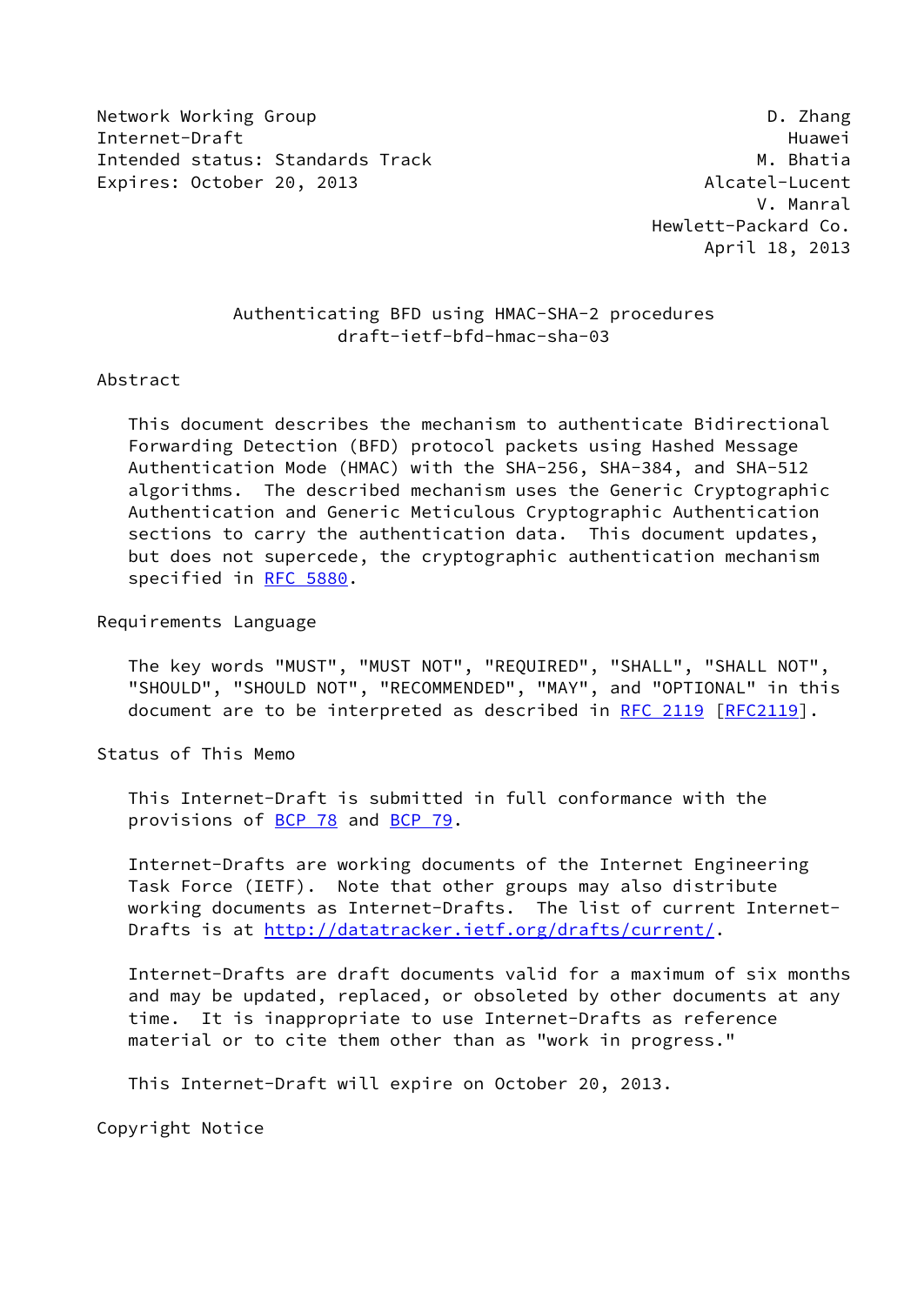Network Working Group **D. 2008** Network Working Group Internet-Draft Huawei Intended status: Standards Track M. Bhatia Expires: October 20, 2013 and the Contract Contract Alcatel-Lucent

 V. Manral Hewlett-Packard Co. April 18, 2013

# Authenticating BFD using HMAC-SHA-2 procedures draft-ietf-bfd-hmac-sha-03

#### Abstract

 This document describes the mechanism to authenticate Bidirectional Forwarding Detection (BFD) protocol packets using Hashed Message Authentication Mode (HMAC) with the SHA-256, SHA-384, and SHA-512 algorithms. The described mechanism uses the Generic Cryptographic Authentication and Generic Meticulous Cryptographic Authentication sections to carry the authentication data. This document updates, but does not supercede, the cryptographic authentication mechanism specified in [RFC 5880](https://datatracker.ietf.org/doc/pdf/rfc5880).

Requirements Language

 The key words "MUST", "MUST NOT", "REQUIRED", "SHALL", "SHALL NOT", "SHOULD", "SHOULD NOT", "RECOMMENDED", "MAY", and "OPTIONAL" in this document are to be interpreted as described in [RFC 2119 \[RFC2119](https://datatracker.ietf.org/doc/pdf/rfc2119)].

Status of This Memo

 This Internet-Draft is submitted in full conformance with the provisions of [BCP 78](https://datatracker.ietf.org/doc/pdf/bcp78) and [BCP 79](https://datatracker.ietf.org/doc/pdf/bcp79).

 Internet-Drafts are working documents of the Internet Engineering Task Force (IETF). Note that other groups may also distribute working documents as Internet-Drafts. The list of current Internet- Drafts is at<http://datatracker.ietf.org/drafts/current/>.

 Internet-Drafts are draft documents valid for a maximum of six months and may be updated, replaced, or obsoleted by other documents at any time. It is inappropriate to use Internet-Drafts as reference material or to cite them other than as "work in progress."

This Internet-Draft will expire on October 20, 2013.

Copyright Notice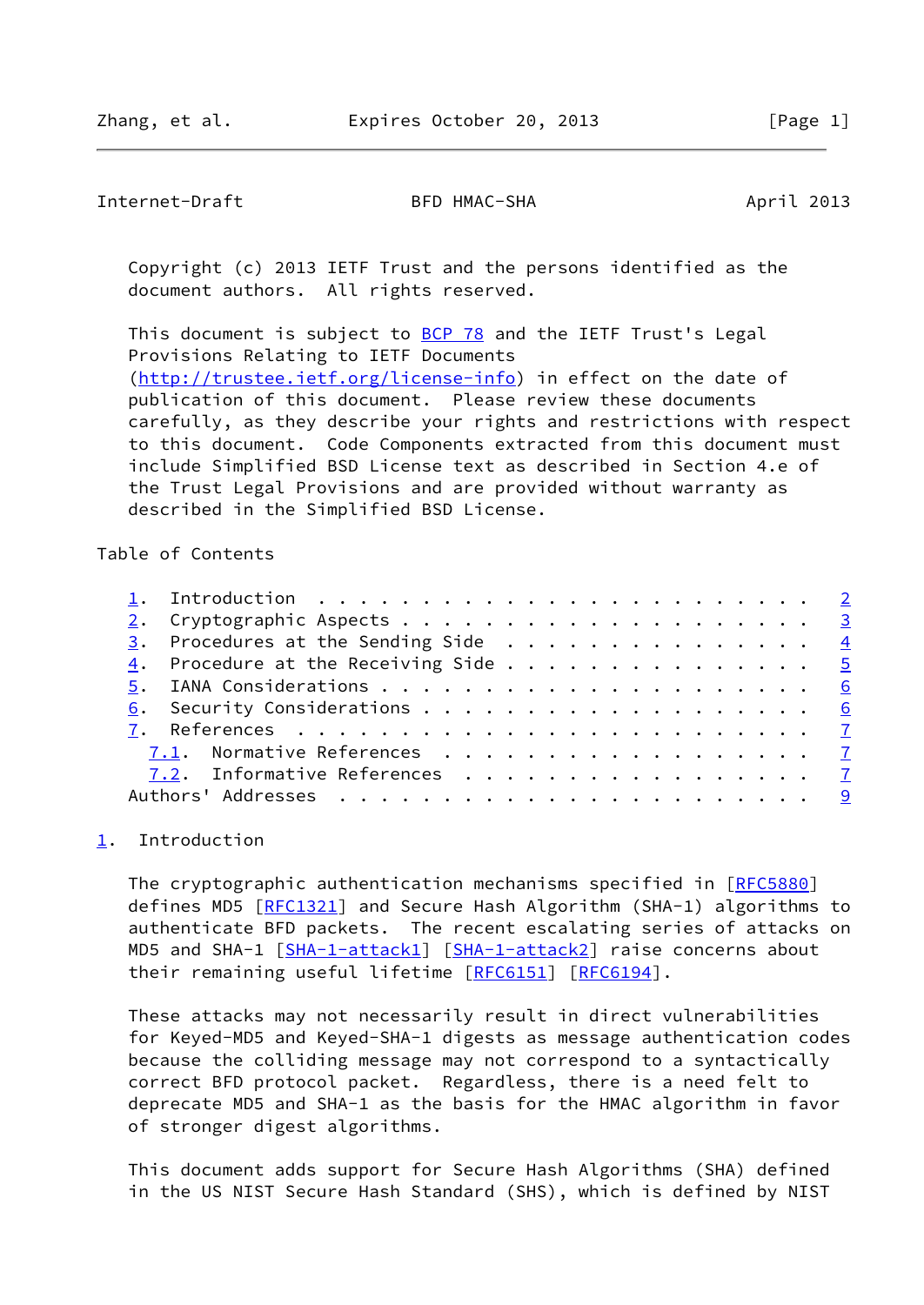<span id="page-1-1"></span>Internet-Draft BFD HMAC-SHA April 2013

 Copyright (c) 2013 IETF Trust and the persons identified as the document authors. All rights reserved.

This document is subject to **[BCP 78](https://datatracker.ietf.org/doc/pdf/bcp78)** and the IETF Trust's Legal Provisions Relating to IETF Documents [\(http://trustee.ietf.org/license-info](http://trustee.ietf.org/license-info)) in effect on the date of publication of this document. Please review these documents carefully, as they describe your rights and restrictions with respect to this document. Code Components extracted from this document must include Simplified BSD License text as described in Section 4.e of the Trust Legal Provisions and are provided without warranty as described in the Simplified BSD License.

Table of Contents

|  | 4. Procedure at the Receiving Side 5 |  |  |  |  |  |  |  |  |
|--|--------------------------------------|--|--|--|--|--|--|--|--|
|  |                                      |  |  |  |  |  |  |  |  |
|  |                                      |  |  |  |  |  |  |  |  |
|  |                                      |  |  |  |  |  |  |  |  |
|  | 7.1. Normative References 7          |  |  |  |  |  |  |  |  |
|  | 7.2. Informative References 7        |  |  |  |  |  |  |  |  |
|  |                                      |  |  |  |  |  |  |  |  |
|  |                                      |  |  |  |  |  |  |  |  |

# <span id="page-1-0"></span>[1](#page-1-0). Introduction

The cryptographic authentication mechanisms specified in [\[RFC5880](https://datatracker.ietf.org/doc/pdf/rfc5880)] defines MD5 [\[RFC1321](https://datatracker.ietf.org/doc/pdf/rfc1321)] and Secure Hash Algorithm (SHA-1) algorithms to authenticate BFD packets. The recent escalating series of attacks on MD5 and SHA-1 [[SHA-1-attack1\]](#page-8-0) [[SHA-1-attack2\]](#page-8-1) raise concerns about their remaining useful lifetime [\[RFC6151](https://datatracker.ietf.org/doc/pdf/rfc6151)] [[RFC6194](https://datatracker.ietf.org/doc/pdf/rfc6194)].

 These attacks may not necessarily result in direct vulnerabilities for Keyed-MD5 and Keyed-SHA-1 digests as message authentication codes because the colliding message may not correspond to a syntactically correct BFD protocol packet. Regardless, there is a need felt to deprecate MD5 and SHA-1 as the basis for the HMAC algorithm in favor of stronger digest algorithms.

 This document adds support for Secure Hash Algorithms (SHA) defined in the US NIST Secure Hash Standard (SHS), which is defined by NIST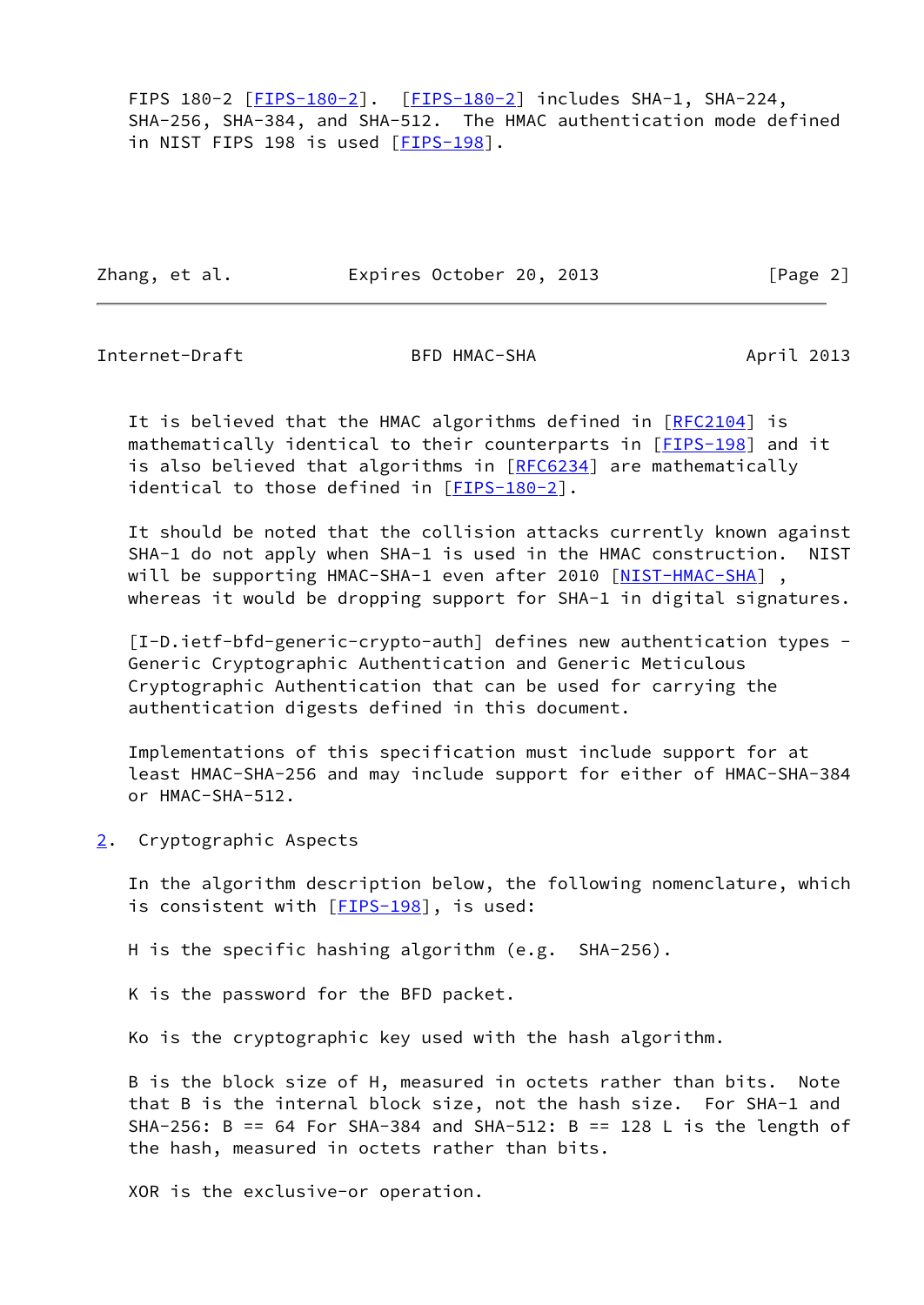FIPS 180-2 [[FIPS-180-2\]](#page-7-3). [FIPS-180-2] includes SHA-1, SHA-224, SHA-256, SHA-384, and SHA-512. The HMAC authentication mode defined in NIST FIPS 198 is used [\[FIPS-198](#page-7-4)].

Zhang, et al. **Expires October 20, 2013** [Page 2]

<span id="page-2-1"></span>Internet-Draft BFD HMAC-SHA April 2013

It is believed that the HMAC algorithms defined in [[RFC2104\]](https://datatracker.ietf.org/doc/pdf/rfc2104) is mathematically identical to their counterparts in [[FIPS-198\]](#page-7-4) and it is also believed that algorithms in [\[RFC6234](https://datatracker.ietf.org/doc/pdf/rfc6234)] are mathematically identical to those defined in [[FIPS-180-2\]](#page-7-3).

 It should be noted that the collision attacks currently known against SHA-1 do not apply when SHA-1 is used in the HMAC construction. NIST will be supporting HMAC-SHA-1 even after 2010 [[NIST-HMAC-SHA\]](#page-8-2), whereas it would be dropping support for SHA-1 in digital signatures.

 [I-D.ietf-bfd-generic-crypto-auth] defines new authentication types - Generic Cryptographic Authentication and Generic Meticulous Cryptographic Authentication that can be used for carrying the authentication digests defined in this document.

 Implementations of this specification must include support for at least HMAC-SHA-256 and may include support for either of HMAC-SHA-384 or HMAC-SHA-512.

<span id="page-2-0"></span>[2](#page-2-0). Cryptographic Aspects

 In the algorithm description below, the following nomenclature, which is consistent with [[FIPS-198\]](#page-7-4), is used:

H is the specific hashing algorithm (e.g. SHA-256).

K is the password for the BFD packet.

Ko is the cryptographic key used with the hash algorithm.

 B is the block size of H, measured in octets rather than bits. Note that B is the internal block size, not the hash size. For SHA-1 and SHA-256: B == 64 For SHA-384 and SHA-512: B == 128 L is the length of the hash, measured in octets rather than bits.

XOR is the exclusive-or operation.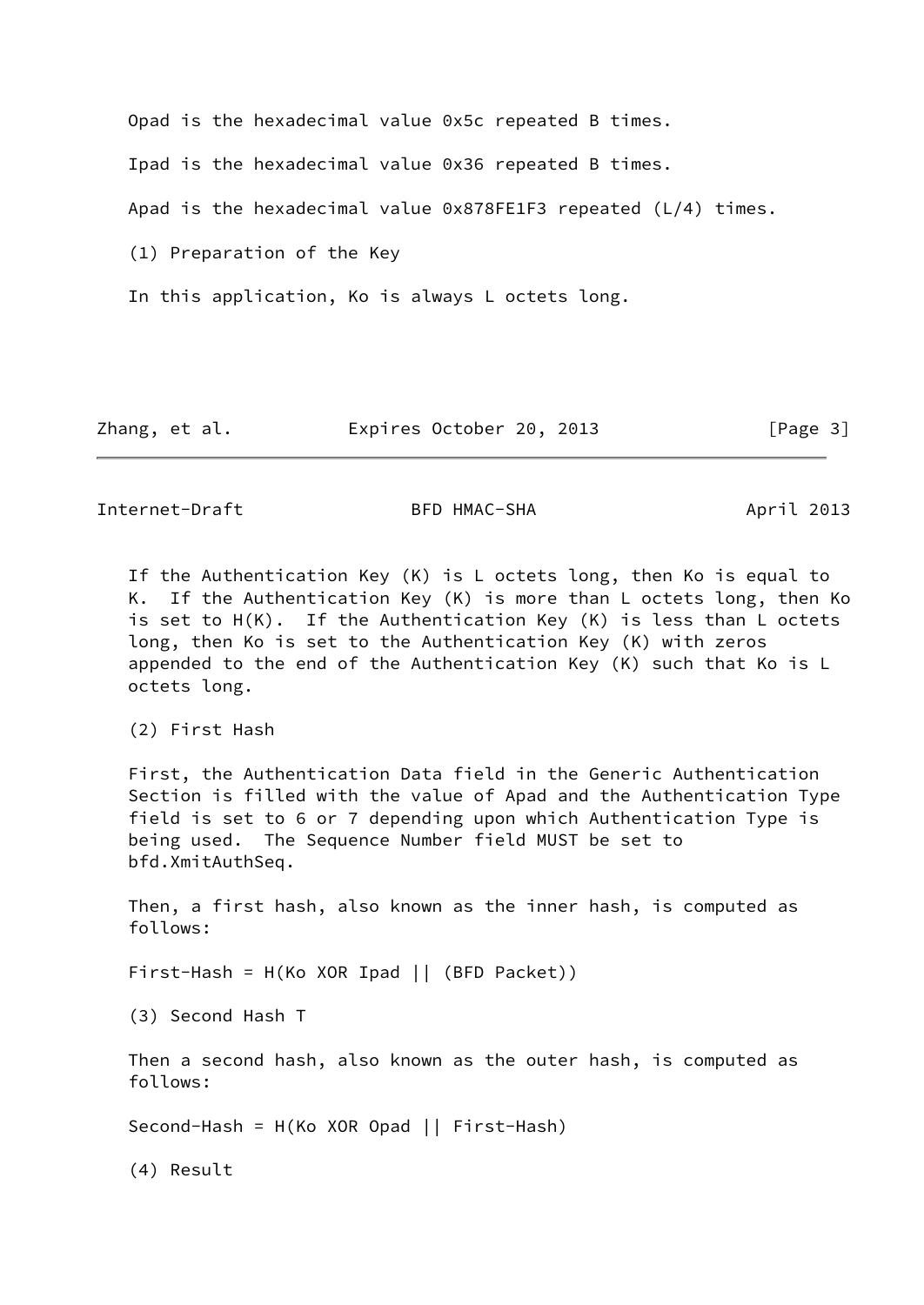Opad is the hexadecimal value 0x5c repeated B times. Ipad is the hexadecimal value 0x36 repeated B times. Apad is the hexadecimal value 0x878FE1F3 repeated (L/4) times. (1) Preparation of the Key In this application, Ko is always L octets long.

Zhang, et al. **Expires October 20, 2013** [Page 3]

<span id="page-3-0"></span>Internet-Draft BFD HMAC-SHA April 2013

 If the Authentication Key (K) is L octets long, then Ko is equal to K. If the Authentication Key (K) is more than L octets long, then Ko is set to H(K). If the Authentication Key (K) is less than L octets long, then Ko is set to the Authentication Key (K) with zeros appended to the end of the Authentication Key (K) such that Ko is L octets long.

(2) First Hash

 First, the Authentication Data field in the Generic Authentication Section is filled with the value of Apad and the Authentication Type field is set to 6 or 7 depending upon which Authentication Type is being used. The Sequence Number field MUST be set to bfd.XmitAuthSeq.

 Then, a first hash, also known as the inner hash, is computed as follows:

First-Hash = H(Ko XOR Ipad || (BFD Packet))

(3) Second Hash T

 Then a second hash, also known as the outer hash, is computed as follows:

Second-Hash = H(Ko XOR Opad || First-Hash)

(4) Result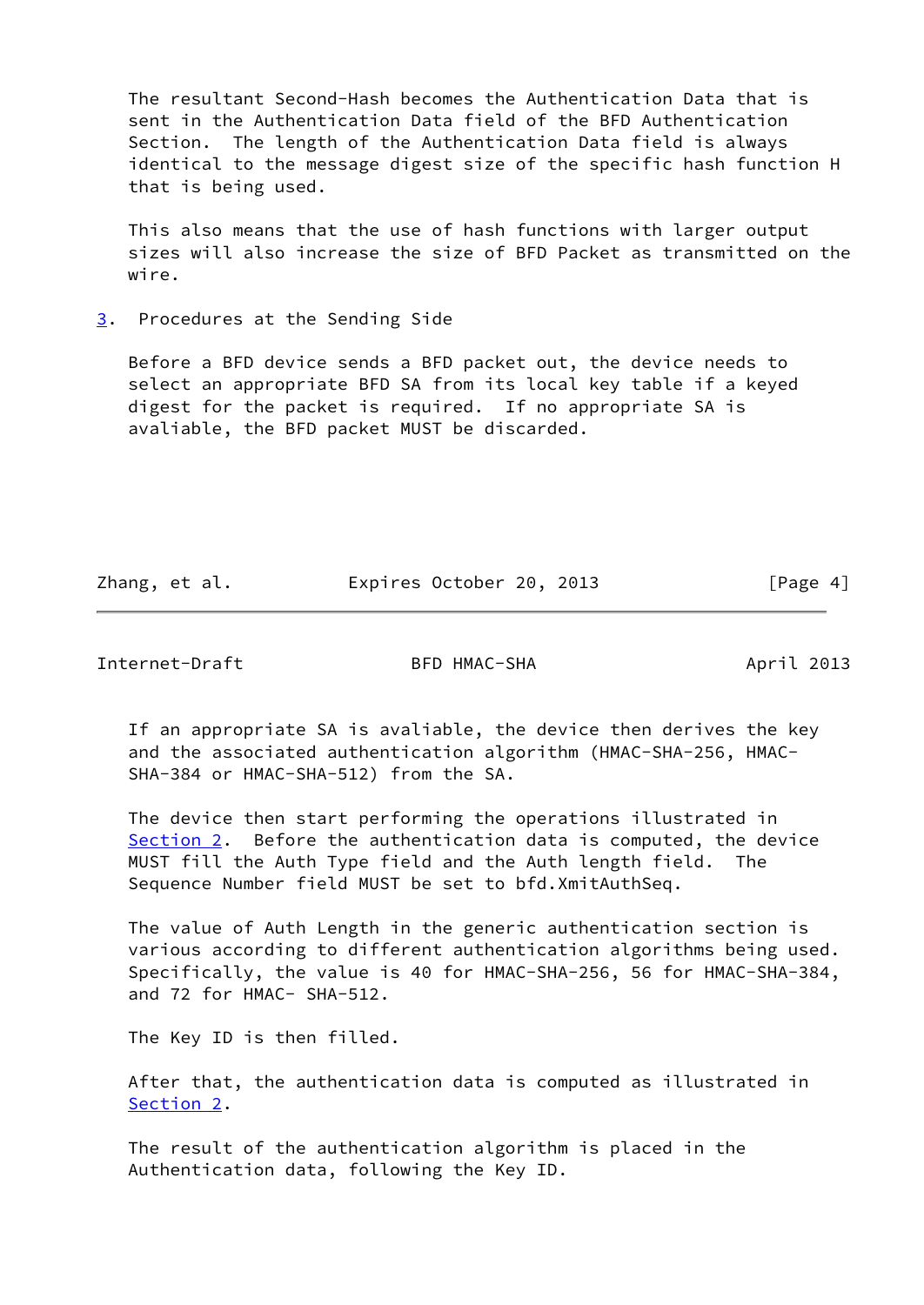The resultant Second-Hash becomes the Authentication Data that is sent in the Authentication Data field of the BFD Authentication Section. The length of the Authentication Data field is always identical to the message digest size of the specific hash function H that is being used.

 This also means that the use of hash functions with larger output sizes will also increase the size of BFD Packet as transmitted on the wire.

<span id="page-4-0"></span>[3](#page-4-0). Procedures at the Sending Side

 Before a BFD device sends a BFD packet out, the device needs to select an appropriate BFD SA from its local key table if a keyed digest for the packet is required. If no appropriate SA is avaliable, the BFD packet MUST be discarded.

Zhang, et al. **Expires October 20, 2013** [Page 4]

<span id="page-4-1"></span>Internet-Draft BFD HMAC-SHA April 2013

 If an appropriate SA is avaliable, the device then derives the key and the associated authentication algorithm (HMAC-SHA-256, HMAC- SHA-384 or HMAC-SHA-512) from the SA.

 The device then start performing the operations illustrated in [Section 2](#page-2-0). Before the authentication data is computed, the device MUST fill the Auth Type field and the Auth length field. The Sequence Number field MUST be set to bfd.XmitAuthSeq.

 The value of Auth Length in the generic authentication section is various according to different authentication algorithms being used. Specifically, the value is 40 for HMAC-SHA-256, 56 for HMAC-SHA-384, and 72 for HMAC- SHA-512.

The Key ID is then filled.

 After that, the authentication data is computed as illustrated in [Section 2](#page-2-0).

 The result of the authentication algorithm is placed in the Authentication data, following the Key ID.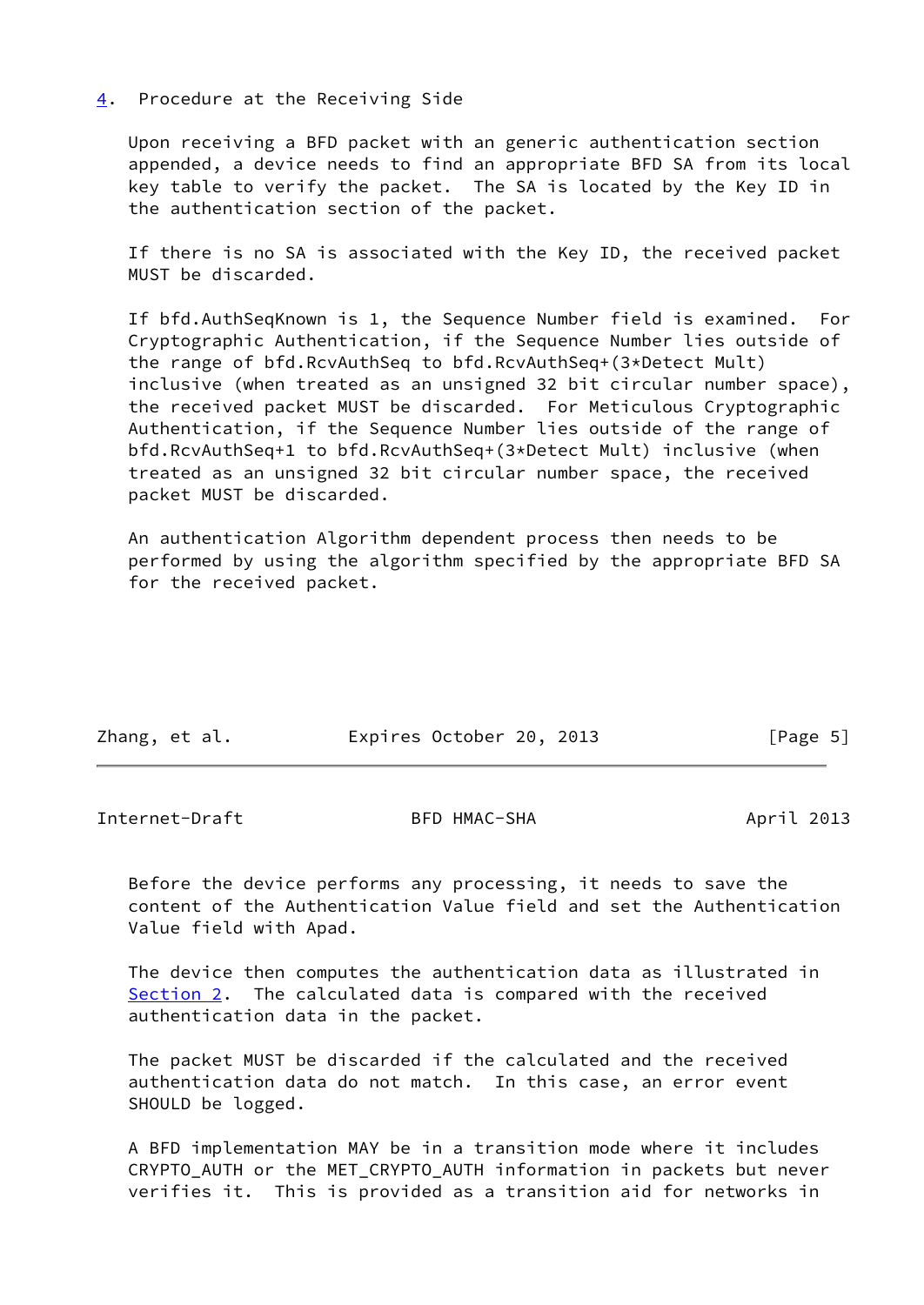### <span id="page-5-0"></span>[4](#page-5-0). Procedure at the Receiving Side

 Upon receiving a BFD packet with an generic authentication section appended, a device needs to find an appropriate BFD SA from its local key table to verify the packet. The SA is located by the Key ID in the authentication section of the packet.

 If there is no SA is associated with the Key ID, the received packet MUST be discarded.

 If bfd.AuthSeqKnown is 1, the Sequence Number field is examined. For Cryptographic Authentication, if the Sequence Number lies outside of the range of bfd.RcvAuthSeq to bfd.RcvAuthSeq+(3\*Detect Mult) inclusive (when treated as an unsigned 32 bit circular number space), the received packet MUST be discarded. For Meticulous Cryptographic Authentication, if the Sequence Number lies outside of the range of bfd.RcvAuthSeq+1 to bfd.RcvAuthSeq+(3\*Detect Mult) inclusive (when treated as an unsigned 32 bit circular number space, the received packet MUST be discarded.

 An authentication Algorithm dependent process then needs to be performed by using the algorithm specified by the appropriate BFD SA for the received packet.

| Zhang, et al. | Expires October 20, 2013 |  | [Page 5] |
|---------------|--------------------------|--|----------|
|               |                          |  |          |

<span id="page-5-1"></span>Internet-Draft BFD HMAC-SHA April 2013

 Before the device performs any processing, it needs to save the content of the Authentication Value field and set the Authentication Value field with Apad.

 The device then computes the authentication data as illustrated in [Section 2](#page-2-0). The calculated data is compared with the received authentication data in the packet.

 The packet MUST be discarded if the calculated and the received authentication data do not match. In this case, an error event SHOULD be logged.

 A BFD implementation MAY be in a transition mode where it includes CRYPTO AUTH or the MET CRYPTO AUTH information in packets but never verifies it. This is provided as a transition aid for networks in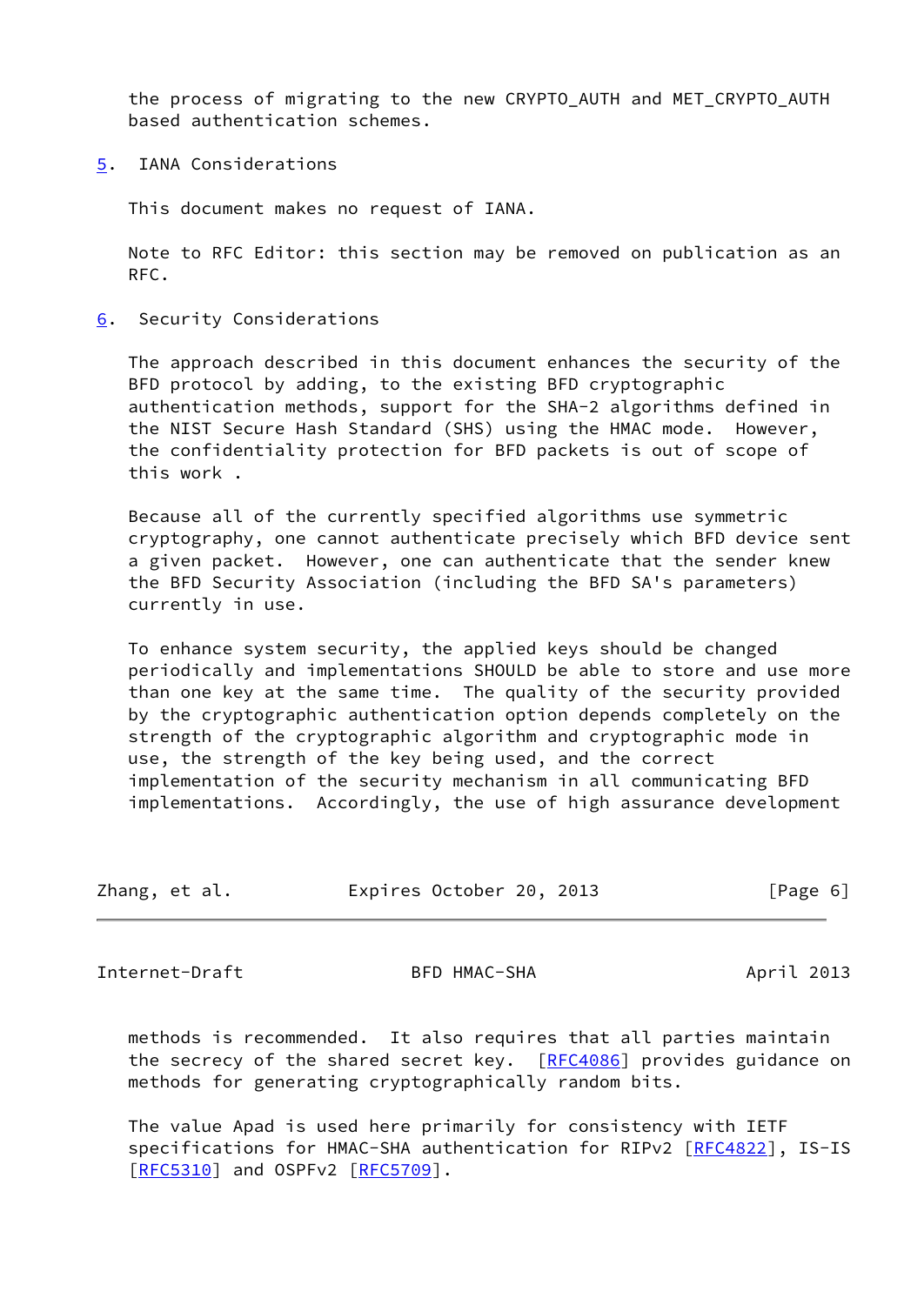the process of migrating to the new CRYPTO\_AUTH and MET\_CRYPTO\_AUTH based authentication schemes.

<span id="page-6-0"></span>[5](#page-6-0). IANA Considerations

This document makes no request of IANA.

 Note to RFC Editor: this section may be removed on publication as an RFC.

<span id="page-6-1"></span>[6](#page-6-1). Security Considerations

 The approach described in this document enhances the security of the BFD protocol by adding, to the existing BFD cryptographic authentication methods, support for the SHA-2 algorithms defined in the NIST Secure Hash Standard (SHS) using the HMAC mode. However, the confidentiality protection for BFD packets is out of scope of this work .

 Because all of the currently specified algorithms use symmetric cryptography, one cannot authenticate precisely which BFD device sent a given packet. However, one can authenticate that the sender knew the BFD Security Association (including the BFD SA's parameters) currently in use.

 To enhance system security, the applied keys should be changed periodically and implementations SHOULD be able to store and use more than one key at the same time. The quality of the security provided by the cryptographic authentication option depends completely on the strength of the cryptographic algorithm and cryptographic mode in use, the strength of the key being used, and the correct implementation of the security mechanism in all communicating BFD implementations. Accordingly, the use of high assurance development

| Zhang, et al. |  |  | Expires October 20, 2013 |  |  | [Page 6] |  |
|---------------|--|--|--------------------------|--|--|----------|--|
|---------------|--|--|--------------------------|--|--|----------|--|

<span id="page-6-2"></span>Internet-Draft BFD HMAC-SHA April 2013

 methods is recommended. It also requires that all parties maintain the secrecy of the shared secret key. [\[RFC4086](https://datatracker.ietf.org/doc/pdf/rfc4086)] provides guidance on methods for generating cryptographically random bits.

 The value Apad is used here primarily for consistency with IETF specifications for HMAC-SHA authentication for RIPv2 [\[RFC4822](https://datatracker.ietf.org/doc/pdf/rfc4822)], IS-IS [\[RFC5310](https://datatracker.ietf.org/doc/pdf/rfc5310)] and OSPFv2 [\[RFC5709](https://datatracker.ietf.org/doc/pdf/rfc5709)].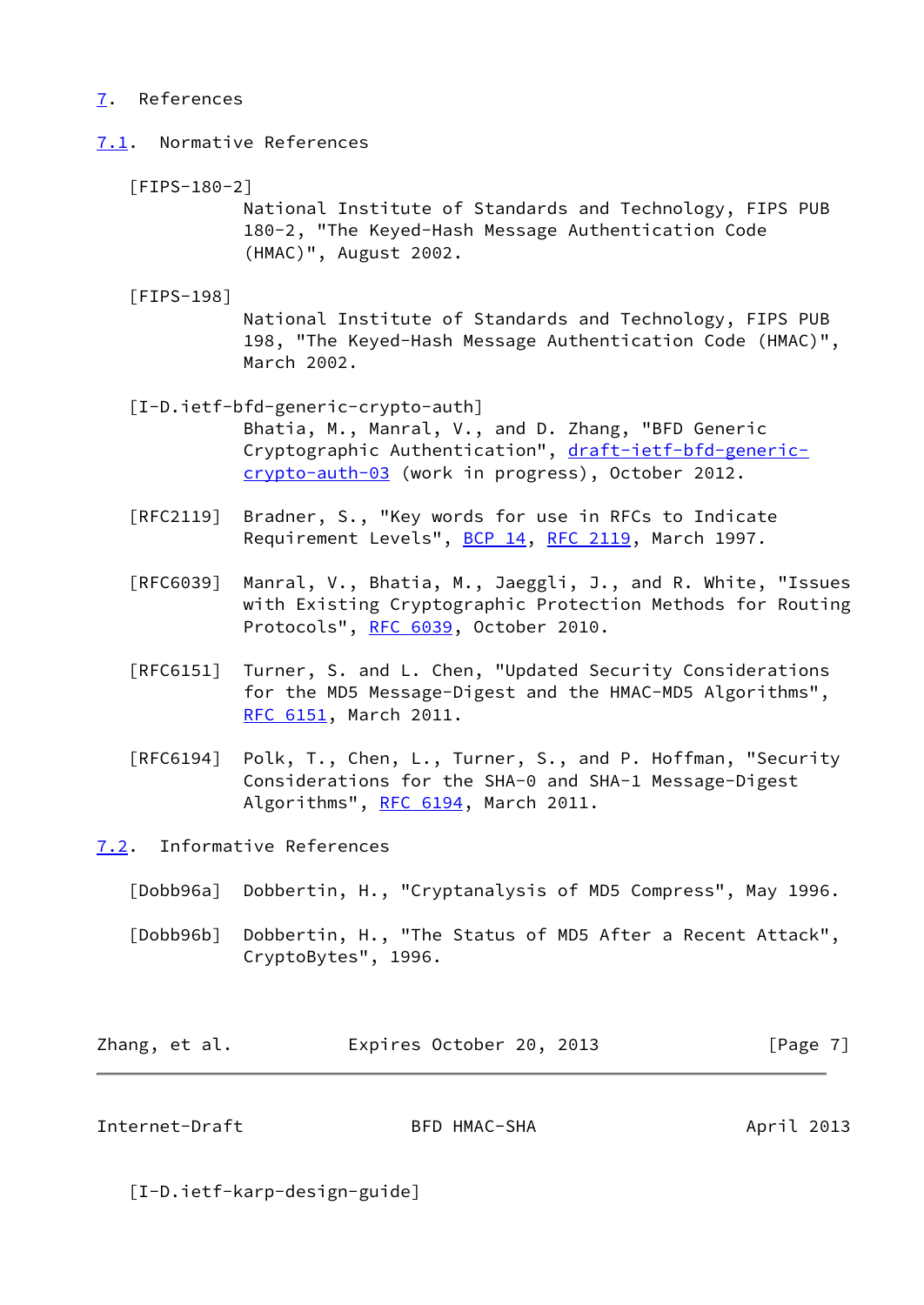# <span id="page-7-0"></span>[7](#page-7-0). References

- <span id="page-7-3"></span><span id="page-7-1"></span>[7.1](#page-7-1). Normative References
	- [FIPS-180-2]

 National Institute of Standards and Technology, FIPS PUB 180-2, "The Keyed-Hash Message Authentication Code (HMAC)", August 2002.

<span id="page-7-4"></span>[FIPS-198]

 National Institute of Standards and Technology, FIPS PUB 198, "The Keyed-Hash Message Authentication Code (HMAC)", March 2002.

[I-D.ietf-bfd-generic-crypto-auth]

 Bhatia, M., Manral, V., and D. Zhang, "BFD Generic Cryptographic Authentication", [draft-ietf-bfd-generic](https://datatracker.ietf.org/doc/pdf/draft-ietf-bfd-generic-crypto-auth-03) [crypto-auth-03](https://datatracker.ietf.org/doc/pdf/draft-ietf-bfd-generic-crypto-auth-03) (work in progress), October 2012.

- [RFC2119] Bradner, S., "Key words for use in RFCs to Indicate Requirement Levels", [BCP 14](https://datatracker.ietf.org/doc/pdf/bcp14), [RFC 2119](https://datatracker.ietf.org/doc/pdf/rfc2119), March 1997.
- [RFC6039] Manral, V., Bhatia, M., Jaeggli, J., and R. White, "Issues with Existing Cryptographic Protection Methods for Routing Protocols", [RFC 6039,](https://datatracker.ietf.org/doc/pdf/rfc6039) October 2010.
- [RFC6151] Turner, S. and L. Chen, "Updated Security Considerations for the MD5 Message-Digest and the HMAC-MD5 Algorithms", [RFC 6151,](https://datatracker.ietf.org/doc/pdf/rfc6151) March 2011.
- [RFC6194] Polk, T., Chen, L., Turner, S., and P. Hoffman, "Security Considerations for the SHA-0 and SHA-1 Message-Digest Algorithms", [RFC 6194](https://datatracker.ietf.org/doc/pdf/rfc6194), March 2011.
- <span id="page-7-2"></span>[7.2](#page-7-2). Informative References
	- [Dobb96a] Dobbertin, H., "Cryptanalysis of MD5 Compress", May 1996.

 [Dobb96b] Dobbertin, H., "The Status of MD5 After a Recent Attack", CryptoBytes", 1996.

| Zhang, et al. | Expires October 20, 2013 | [Page 7] |
|---------------|--------------------------|----------|
|---------------|--------------------------|----------|

Internet-Draft BFD HMAC-SHA April 2013

[I-D.ietf-karp-design-guide]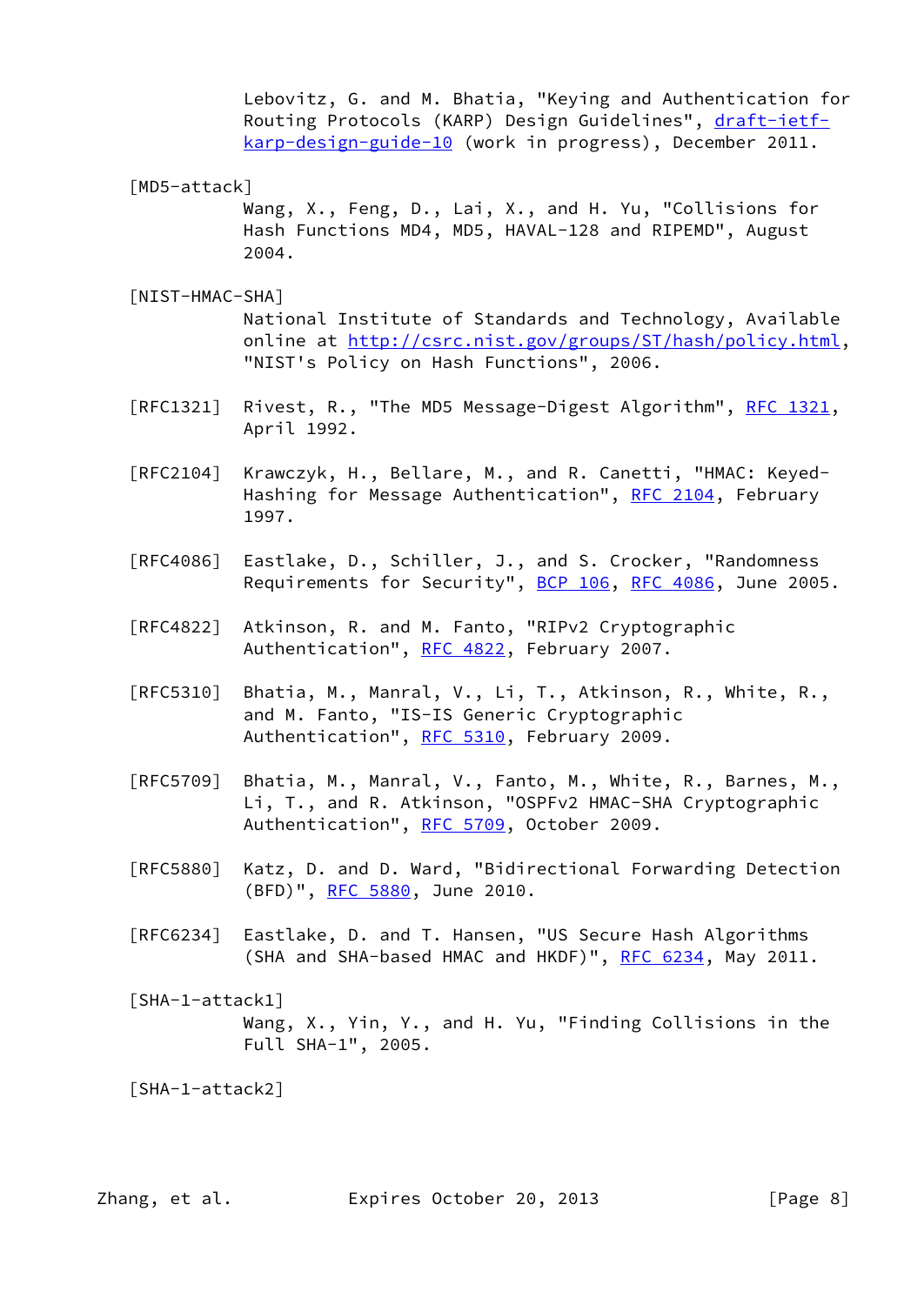Lebovitz, G. and M. Bhatia, "Keying and Authentication for Routing Protocols (KARP) Design Guidelines", [draft-ietf](https://datatracker.ietf.org/doc/pdf/draft-ietf-karp-design-guide-10) [karp-design-guide-10](https://datatracker.ietf.org/doc/pdf/draft-ietf-karp-design-guide-10) (work in progress), December 2011.

[MD5-attack]

 Wang, X., Feng, D., Lai, X., and H. Yu, "Collisions for Hash Functions MD4, MD5, HAVAL-128 and RIPEMD", August 2004.

<span id="page-8-2"></span>[NIST-HMAC-SHA]

 National Institute of Standards and Technology, Available online at<http://csrc.nist.gov/groups/ST/hash/policy.html>, "NIST's Policy on Hash Functions", 2006.

- [RFC1321] Rivest, R., "The MD5 Message-Digest Algorithm", [RFC 1321,](https://datatracker.ietf.org/doc/pdf/rfc1321) April 1992.
- [RFC2104] Krawczyk, H., Bellare, M., and R. Canetti, "HMAC: Keyed- Hashing for Message Authentication", [RFC 2104](https://datatracker.ietf.org/doc/pdf/rfc2104), February 1997.
- [RFC4086] Eastlake, D., Schiller, J., and S. Crocker, "Randomness Requirements for Security", [BCP 106](https://datatracker.ietf.org/doc/pdf/bcp106), [RFC 4086](https://datatracker.ietf.org/doc/pdf/rfc4086), June 2005.
- [RFC4822] Atkinson, R. and M. Fanto, "RIPv2 Cryptographic Authentication", [RFC 4822,](https://datatracker.ietf.org/doc/pdf/rfc4822) February 2007.
- [RFC5310] Bhatia, M., Manral, V., Li, T., Atkinson, R., White, R., and M. Fanto, "IS-IS Generic Cryptographic Authentication", [RFC 5310,](https://datatracker.ietf.org/doc/pdf/rfc5310) February 2009.
- [RFC5709] Bhatia, M., Manral, V., Fanto, M., White, R., Barnes, M., Li, T., and R. Atkinson, "OSPFv2 HMAC-SHA Cryptographic Authentication", [RFC 5709,](https://datatracker.ietf.org/doc/pdf/rfc5709) October 2009.
- [RFC5880] Katz, D. and D. Ward, "Bidirectional Forwarding Detection (BFD)", [RFC 5880,](https://datatracker.ietf.org/doc/pdf/rfc5880) June 2010.
- [RFC6234] Eastlake, D. and T. Hansen, "US Secure Hash Algorithms (SHA and SHA-based HMAC and HKDF)", [RFC 6234,](https://datatracker.ietf.org/doc/pdf/rfc6234) May 2011.

<span id="page-8-0"></span> [SHA-1-attack1] Wang, X., Yin, Y., and H. Yu, "Finding Collisions in the Full SHA-1", 2005.

<span id="page-8-1"></span>[SHA-1-attack2]